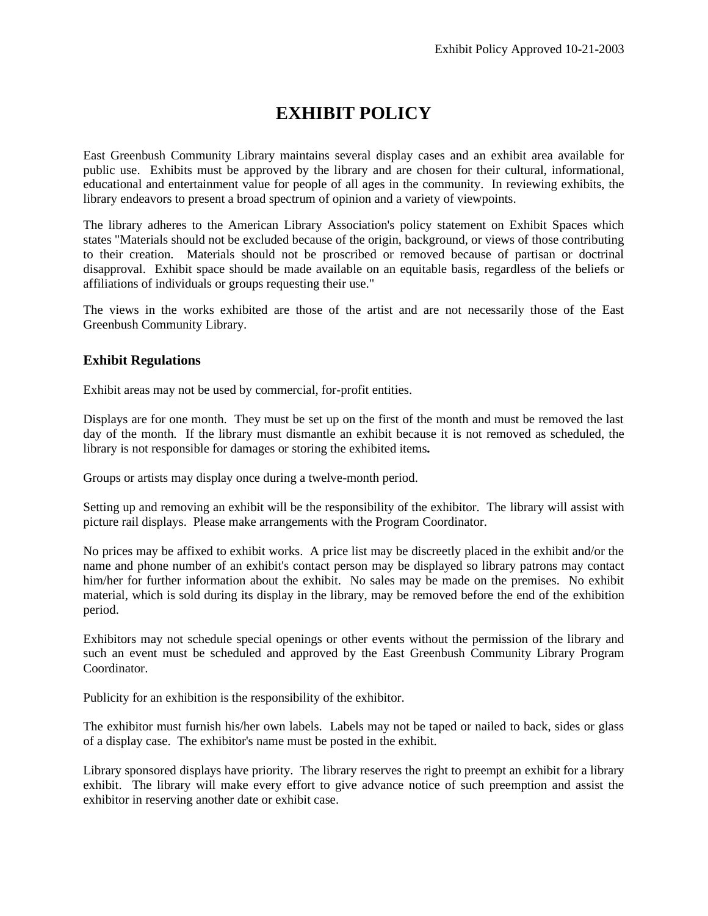## **EXHIBIT POLICY**

East Greenbush Community Library maintains several display cases and an exhibit area available for public use. Exhibits must be approved by the library and are chosen for their cultural, informational, educational and entertainment value for people of all ages in the community. In reviewing exhibits, the library endeavors to present a broad spectrum of opinion and a variety of viewpoints.

The library adheres to the American Library Association's policy statement on Exhibit Spaces which states "Materials should not be excluded because of the origin, background, or views of those contributing to their creation. Materials should not be proscribed or removed because of partisan or doctrinal disapproval. Exhibit space should be made available on an equitable basis, regardless of the beliefs or affiliations of individuals or groups requesting their use."

The views in the works exhibited are those of the artist and are not necessarily those of the East Greenbush Community Library.

#### **Exhibit Regulations**

Exhibit areas may not be used by commercial, for-profit entities.

Displays are for one month. They must be set up on the first of the month and must be removed the last day of the month. If the library must dismantle an exhibit because it is not removed as scheduled, the library is not responsible for damages or storing the exhibited items*.*

Groups or artists may display once during a twelve-month period.

Setting up and removing an exhibit will be the responsibility of the exhibitor. The library will assist with picture rail displays. Please make arrangements with the Program Coordinator.

No prices may be affixed to exhibit works. A price list may be discreetly placed in the exhibit and/or the name and phone number of an exhibit's contact person may be displayed so library patrons may contact him/her for further information about the exhibit. No sales may be made on the premises. No exhibit material, which is sold during its display in the library, may be removed before the end of the exhibition period.

Exhibitors may not schedule special openings or other events without the permission of the library and such an event must be scheduled and approved by the East Greenbush Community Library Program Coordinator.

Publicity for an exhibition is the responsibility of the exhibitor.

The exhibitor must furnish his/her own labels. Labels may not be taped or nailed to back, sides or glass of a display case. The exhibitor's name must be posted in the exhibit.

Library sponsored displays have priority. The library reserves the right to preempt an exhibit for a library exhibit. The library will make every effort to give advance notice of such preemption and assist the exhibitor in reserving another date or exhibit case.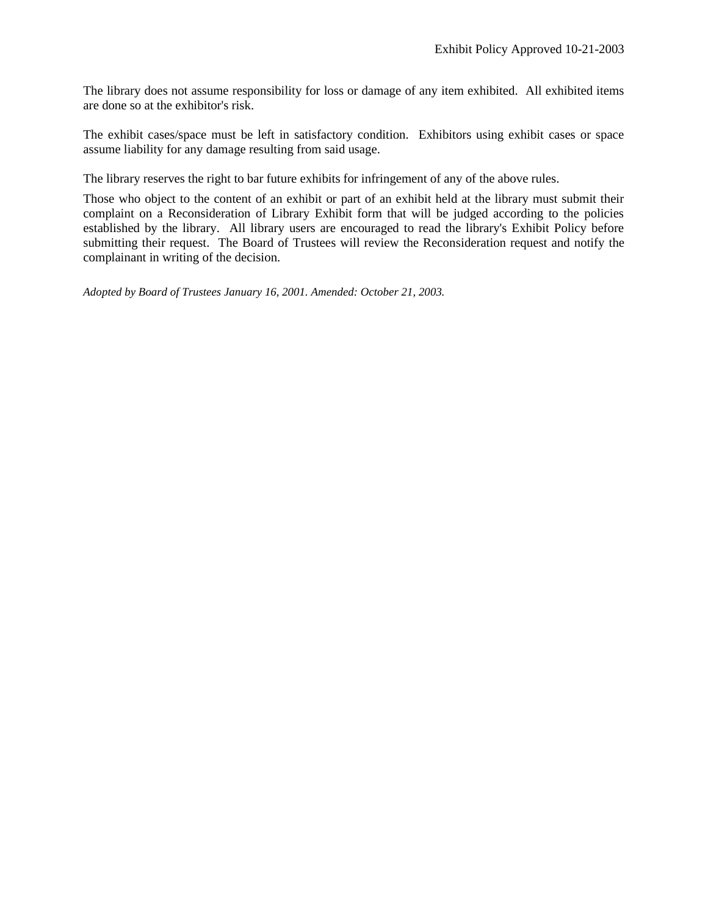The library does not assume responsibility for loss or damage of any item exhibited. All exhibited items are done so at the exhibitor's risk.

The exhibit cases/space must be left in satisfactory condition. Exhibitors using exhibit cases or space assume liability for any damage resulting from said usage.

The library reserves the right to bar future exhibits for infringement of any of the above rules.

Those who object to the content of an exhibit or part of an exhibit held at the library must submit their complaint on a Reconsideration of Library Exhibit form that will be judged according to the policies established by the library. All library users are encouraged to read the library's Exhibit Policy before submitting their request. The Board of Trustees will review the Reconsideration request and notify the complainant in writing of the decision.

*Adopted by Board of Trustees January 16, 2001. Amended: October 21, 2003.*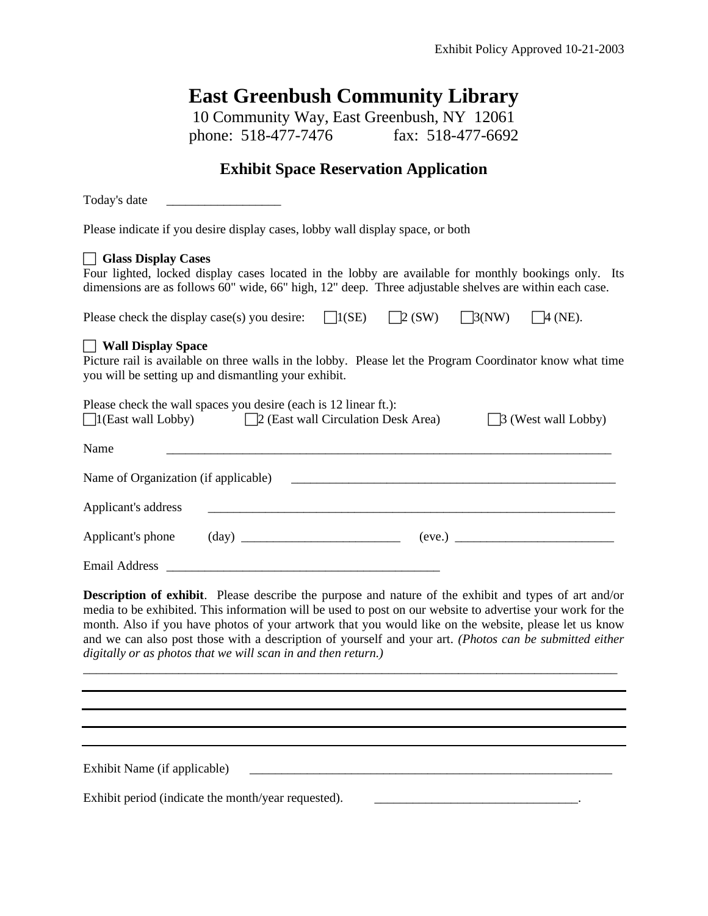# **East Greenbush Community Library**

10 Community Way, East Greenbush, NY 12061<br>phone: 518-477-7476 fax: 518-477-6692 phone: 518-477-7476

# **Exhibit Space Reservation Application**

| Today's date                                                                                                                                                                                                                                                                                                                                                                                                                                                                                                    |
|-----------------------------------------------------------------------------------------------------------------------------------------------------------------------------------------------------------------------------------------------------------------------------------------------------------------------------------------------------------------------------------------------------------------------------------------------------------------------------------------------------------------|
| Please indicate if you desire display cases, lobby wall display space, or both                                                                                                                                                                                                                                                                                                                                                                                                                                  |
| Glass Display Cases<br>Four lighted, locked display cases located in the lobby are available for monthly bookings only. Its<br>dimensions are as follows 60" wide, 66" high, 12" deep. Three adjustable shelves are within each case.                                                                                                                                                                                                                                                                           |
| $\bigcap$ 1(SE)<br>$\Box$ (SW)<br>$\Box$ 3(NW)<br>$\Box 4$ (NE).<br>Please check the display case(s) you desire:                                                                                                                                                                                                                                                                                                                                                                                                |
| Wall Display Space<br>Picture rail is available on three walls in the lobby. Please let the Program Coordinator know what time<br>you will be setting up and dismantling your exhibit.                                                                                                                                                                                                                                                                                                                          |
| Please check the wall spaces you desire (each is 12 linear ft.):<br>$\Box$ 1(East wall Lobby)<br>$\Box$ (East wall Circulation Desk Area)<br>$\Box$ 3 (West wall Lobby)                                                                                                                                                                                                                                                                                                                                         |
| Name                                                                                                                                                                                                                                                                                                                                                                                                                                                                                                            |
| Name of Organization (if applicable)                                                                                                                                                                                                                                                                                                                                                                                                                                                                            |
| Applicant's address                                                                                                                                                                                                                                                                                                                                                                                                                                                                                             |
|                                                                                                                                                                                                                                                                                                                                                                                                                                                                                                                 |
|                                                                                                                                                                                                                                                                                                                                                                                                                                                                                                                 |
| <b>Description of exhibit.</b> Please describe the purpose and nature of the exhibit and types of art and/or<br>media to be exhibited. This information will be used to post on our website to advertise your work for the<br>month. Also if you have photos of your artwork that you would like on the website, please let us know<br>and we can also post those with a description of yourself and your art. (Photos can be submitted either<br>digitally or as photos that we will scan in and then return.) |
|                                                                                                                                                                                                                                                                                                                                                                                                                                                                                                                 |
|                                                                                                                                                                                                                                                                                                                                                                                                                                                                                                                 |
| Exhibit Name (if applicable)                                                                                                                                                                                                                                                                                                                                                                                                                                                                                    |
| Exhibit period (indicate the month/year requested).                                                                                                                                                                                                                                                                                                                                                                                                                                                             |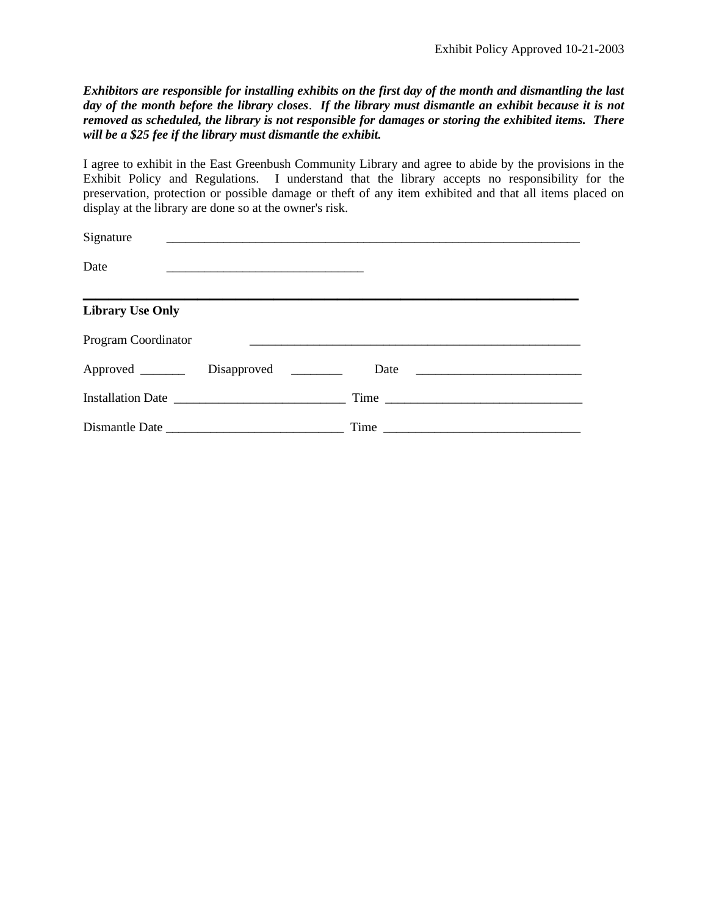*Exhibitors are responsible for installing exhibits on the first day of the month and dismantling the last day of the month before the library closes*. *If the library must dismantle an exhibit because it is not removed as scheduled, the library is not responsible for damages or storing the exhibited items. There will be a \$25 fee if the library must dismantle the exhibit.*

I agree to exhibit in the East Greenbush Community Library and agree to abide by the provisions in the Exhibit Policy and Regulations. I understand that the library accepts no responsibility for the preservation, protection or possible damage or theft of any item exhibited and that all items placed on display at the library are done so at the owner's risk.

| Signature               |                       |      |
|-------------------------|-----------------------|------|
| Date                    |                       |      |
| <b>Library Use Only</b> |                       |      |
| Program Coordinator     |                       |      |
| Approved ________       | Disapproved _________ |      |
|                         |                       | Time |
|                         |                       | Time |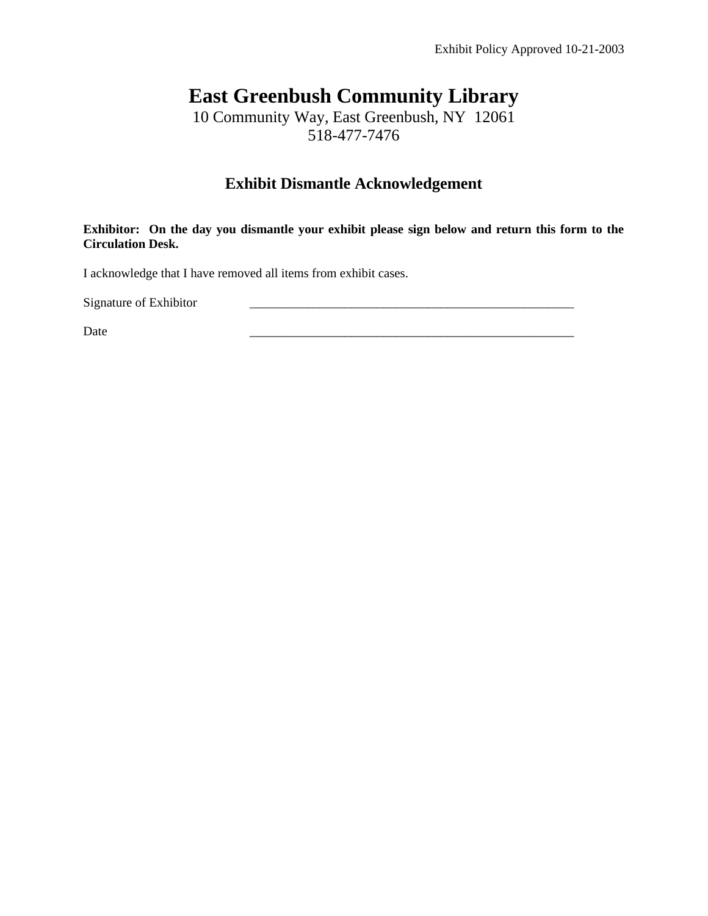# **East Greenbush Community Library**

10 Community Way, East Greenbush, NY 12061 518-477-7476

### **Exhibit Dismantle Acknowledgement**

**Exhibitor: On the day you dismantle your exhibit please sign below and return this form to the Circulation Desk.** 

I acknowledge that I have removed all items from exhibit cases.

Signature of Exhibitor

Date  $\Box$